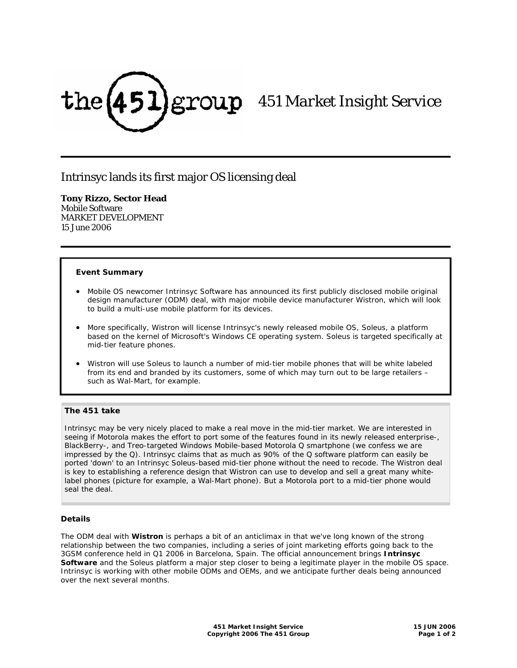

# *451 Market Insight Service*

# Intrinsyc lands its first major OS licensing deal

## **Tony Rizzo, Sector Head**

Mobile Software MARKET DEVELOPMENT 15 June 2006

## **Event Summary**

- Mobile OS newcomer Intrinsyc Software has announced its first publicly disclosed mobile original design manufacturer (ODM) deal, with major mobile device manufacturer Wistron, which will look to build a multi-use mobile platform for its devices.
- More specifically, Wistron will license Intrinsyc's newly released mobile OS, Soleus, a platform based on the kernel of Microsoft's Windows CE operating system. Soleus is targeted specifically at mid-tier feature phones.
- Wistron will use Soleus to launch a number of mid-tier mobile phones that will be white labeled from its end and branded by its customers, some of which may turn out to be large retailers – such as Wal-Mart, for example.

## **The 451 take**

Intrinsyc may be very nicely placed to make a real move in the mid-tier market. We are interested in seeing if Motorola makes the effort to port some of the features found in its newly released enterprise-, BlackBerry-, and Treo-targeted Windows Mobile-based Motorola Q smartphone (we confess we are impressed by the Q). Intrinsyc claims that as much as 90% of the Q software platform can easily be ported 'down' to an Intrinsyc Soleus-based mid-tier phone without the need to recode. The Wistron deal is key to establishing a reference design that Wistron can use to develop and sell a great many whitelabel phones (picture for example, a Wal-Mart phone). But a Motorola port to a mid-tier phone would seal the deal.

#### **Details**

The ODM deal with **Wistron** is perhaps a bit of an anticlimax in that we've long known of the strong relationship between the two companies, including a series of joint marketing efforts going back to the 3GSM conference held in Q1 2006 in Barcelona, Spain. The official announcement brings **Intrinsyc Software** and the Soleus platform a major step closer to being a legitimate player in the mobile OS space. Intrinsyc is working with other mobile ODMs and OEMs, and we anticipate further deals being announced over the next several months.